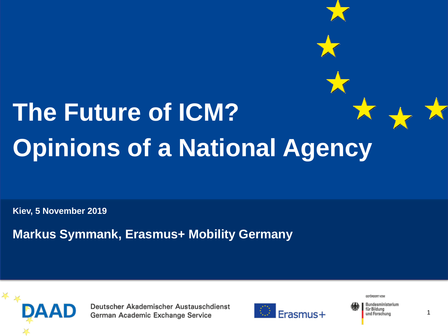# **The Future of ICM? Opinions of a National Agency**

**Kiev, 5 November 2019**

**Markus Symmank, Erasmus+ Mobility Germany**



Deutscher Akademischer Austauschdienst German Academic Exchange Service



GEFÖRDERT VOM

Bundesministerium für Bildung und Forschung

1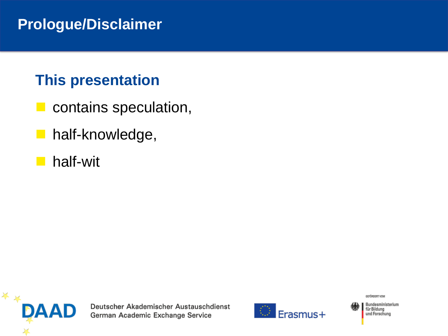#### **Prologue/Disclaimer**

#### **This presentation**

- $\blacksquare$  contains speculation,
- **u** half-knowledge,
- half-wit



Deutscher Akademischer Austauschdienst German Academic Exchange Service



GEFÖRDERT VOM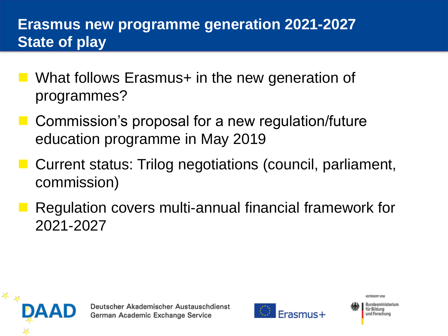## **Erasmus new programme generation 2021-2027 State of play**

- What follows Erasmus+ in the new generation of programmes?
- Commission's proposal for a new regulation/future education programme in May 2019
- Current status: Trilog negotiations (council, parliament, commission)
- ◼ Regulation covers multi-annual financial framework for 2021-2027





Bundesministerium für Bildung und Forschung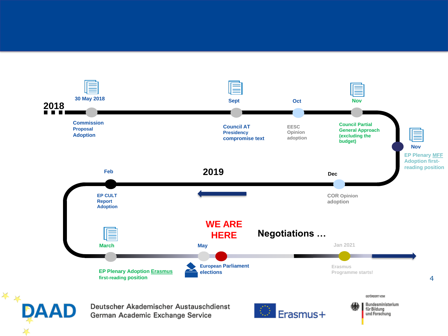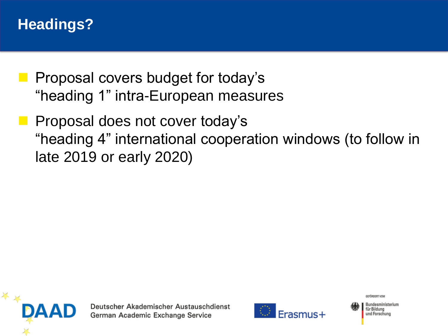#### **Headings?**

- ◼ Proposal covers budget for today's "heading 1" intra-European measures
- Proposal does not cover today's "heading 4" international cooperation windows (to follow in late 2019 or early 2020)





GEEÖRDERT VOM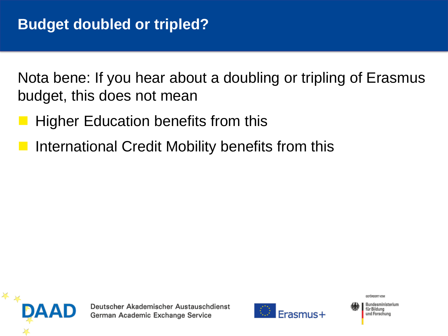Nota bene: If you hear about a doubling or tripling of Erasmus budget, this does not mean

- Higher Education benefits from this
- International Credit Mobility benefits from this





GEEÖRDERT VOM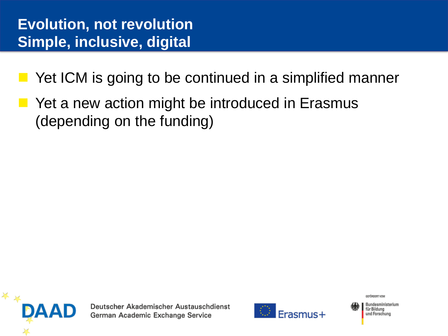- Yet ICM is going to be continued in a simplified manner
- Yet a new action might be introduced in Erasmus (depending on the funding)



Deutscher Akademischer Austauschdienst German Academic Exchange Service



GEEÖRDERT VOM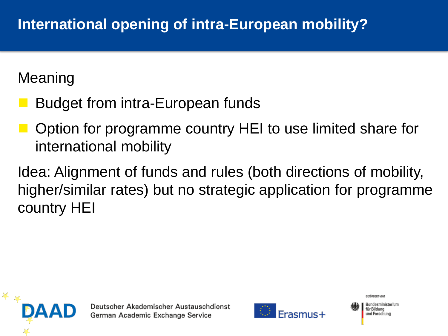Meaning

- Budget from intra-European funds
- Option for programme country HEI to use limited share for international mobility
- Idea: Alignment of funds and rules (both directions of mobility, higher/similar rates) but no strategic application for programme country HEI





GEEÖRDERT VOM Bundesministerium für Bildung und Forschung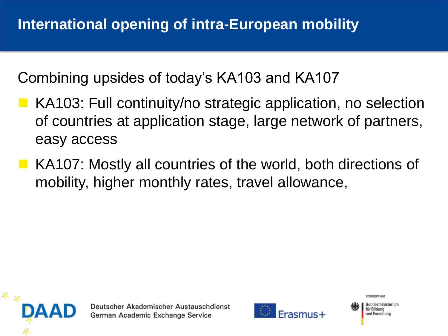Combining upsides of today's KA103 and KA107

- KA103: Full continuity/no strategic application, no selection of countries at application stage, large network of partners, easy access
- KA107: Mostly all countries of the world, both directions of mobility, higher monthly rates, travel allowance,





Bundesministerium für Bildung und Forschung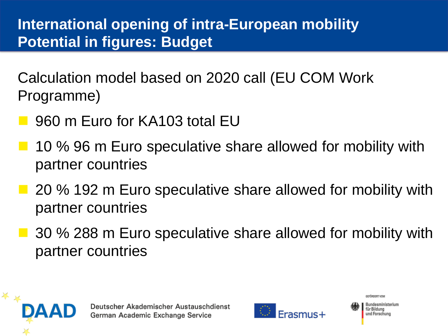## **International opening of intra-European mobility Potential in figures: Budget**

Calculation model based on 2020 call (EU COM Work Programme)

- 960 m Euro for KA103 total EU
- 10 % 96 m Euro speculative share allowed for mobility with partner countries
- 20 % 192 m Euro speculative share allowed for mobility with partner countries
- 30 % 288 m Euro speculative share allowed for mobility with partner countries





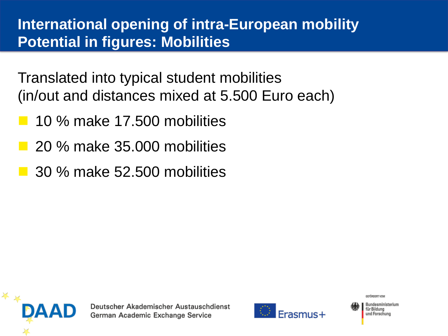### **International opening of intra-European mobility Potential in figures: Mobilities**

Translated into typical student mobilities (in/out and distances mixed at 5.500 Euro each)

- ◼ 10 % make 17.500 mobilities
- ◼ 20 % make 35.000 mobilities
- ◼ 30 % make 52.500 mobilities





GEEÖRDERT VOM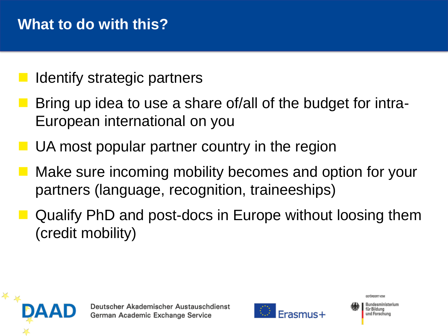- Identify strategic partners
- Bring up idea to use a share of/all of the budget for intra-European international on you
- $\blacksquare$  UA most popular partner country in the region
- Make sure incoming mobility becomes and option for your partners (language, recognition, traineeships)
- Qualify PhD and post-docs in Europe without loosing them (credit mobility)





Bundesministerium für Bildung und Forschung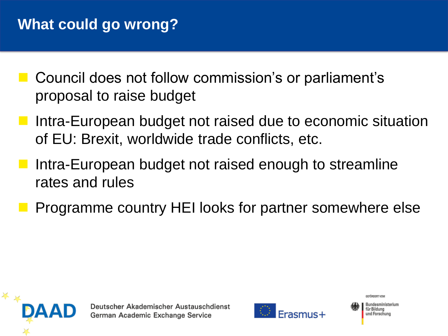- Council does not follow commission's or parliament's proposal to raise budget
- Intra-European budget not raised due to economic situation of EU: Brexit, worldwide trade conflicts, etc.
- Intra-European budget not raised enough to streamline rates and rules
- ◼ Programme country HEI looks for partner somewhere else





Bundesministerium für Bildung und Forschung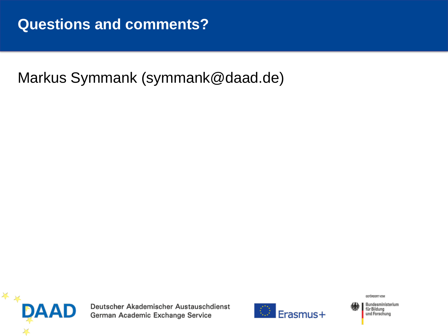#### Markus Symmank (symmank@daad.de)



Deutscher Akademischer Austauschdienst German Academic Exchange Service



GEFÖRDERT VOM